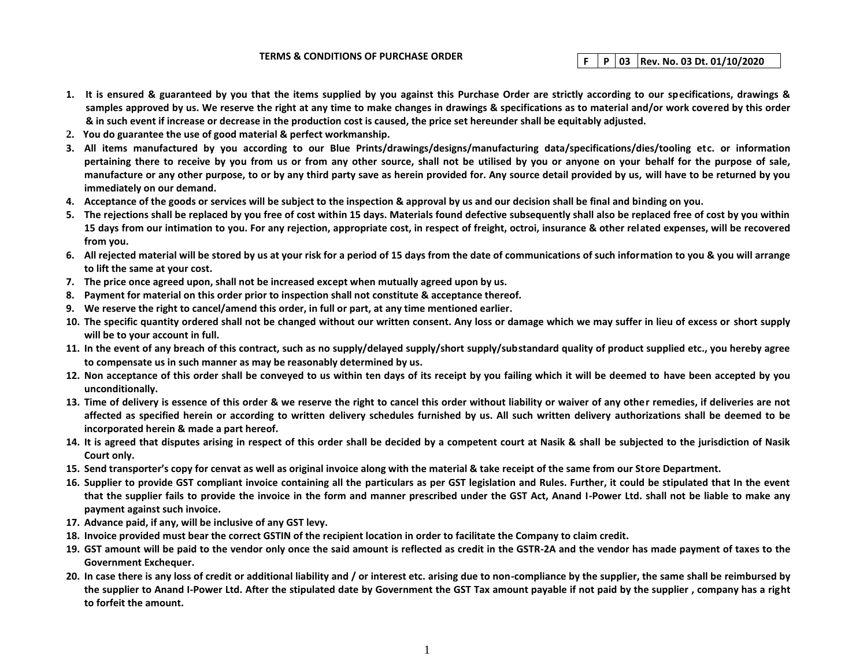## **TERMS & CONDITIONS OF PURCHASE ORDER F P 03 Rev. No. 03 Dt. 01/10/2020**

- **1. It is ensured & guaranteed by you that the items supplied by you against this Purchase Order are strictly according to our specifications, drawings & samples approved by us. We reserve the right at any time to make changes in drawings & specifications as to material and/or work covered by this order & in such event if increase or decrease in the production cost is caused, the price set hereunder shall be equitably adjusted.**
- **2. You do guarantee the use of good material & perfect workmanship.**
- **3. All items manufactured by you according to our Blue Prints/drawings/designs/manufacturing data/specifications/dies/tooling etc. or information pertaining there to receive by you from us or from any other source, shall not be utilised by you or anyone on your behalf for the purpose of sale, manufacture or any other purpose, to or by any third party save as herein provided for. Any source detail provided by us, will have to be returned by you immediately on our demand.**
- **4. Acceptance of the goods or services will be subject to the inspection & approval by us and our decision shall be final and binding on you.**
- **5. The rejections shall be replaced by you free of cost within 15 days. Materials found defective subsequently shall also be replaced free of cost by you within 15 days from our intimation to you. For any rejection, appropriate cost, in respect of freight, octroi, insurance & other related expenses, will be recovered from you.**
- **6. All rejected material will be stored by us at your risk for a period of 15 days from the date of communications of such information to you & you will arrange to lift the same at your cost.**
- **7. The price once agreed upon, shall not be increased except when mutually agreed upon by us.**
- **8. Payment for material on this order prior to inspection shall not constitute & acceptance thereof.**
- **9. We reserve the right to cancel/amend this order, in full or part, at any time mentioned earlier.**
- **10. The specific quantity ordered shall not be changed without our written consent. Any loss or damage which we may suffer in lieu of excess or short supply will be to your account in full.**
- **11. In the event of any breach of this contract, such as no supply/delayed supply/short supply/substandard quality of product supplied etc., you hereby agree to compensate us in such manner as may be reasonably determined by us.**
- **12. Non acceptance of this order shall be conveyed to us within ten days of its receipt by you failing which it will be deemed to have been accepted by you unconditionally.**
- **13. Time of delivery is essence of this order & we reserve the right to cancel this order without liability or waiver of any other remedies, if deliveries are not affected as specified herein or according to written delivery schedules furnished by us. All such written delivery authorizations shall be deemed to be incorporated herein & made a part hereof.**
- **14. It is agreed that disputes arising in respect of this order shall be decided by a competent court at Nasik & shall be subjected to the jurisdiction of Nasik Court only.**
- **15. Send transporter's copy for cenvat as well as original invoice along with the material & take receipt of the same from our Store Department.**
- **16. Supplier to provide GST compliant invoice containing all the particulars as per GST legislation and Rules. Further, it could be stipulated that In the event that the supplier fails to provide the invoice in the form and manner prescribed under the GST Act, Anand I-Power Ltd. shall not be liable to make any payment against such invoice.**
- **17. Advance paid, if any, will be inclusive of any GST levy.**
- **18. Invoice provided must bear the correct GSTIN of the recipient location in order to facilitate the Company to claim credit.**
- **19. GST amount will be paid to the vendor only once the said amount is reflected as credit in the GSTR-2A and the vendor has made payment of taxes to the Government Exchequer.**
- **20. In case there is any loss of credit or additional liability and / or interest etc. arising due to non-compliance by the supplier, the same shall be reimbursed by the supplier to Anand I-Power Ltd. After the stipulated date by Government the GST Tax amount payable if not paid by the supplier , company has a right to forfeit the amount.**